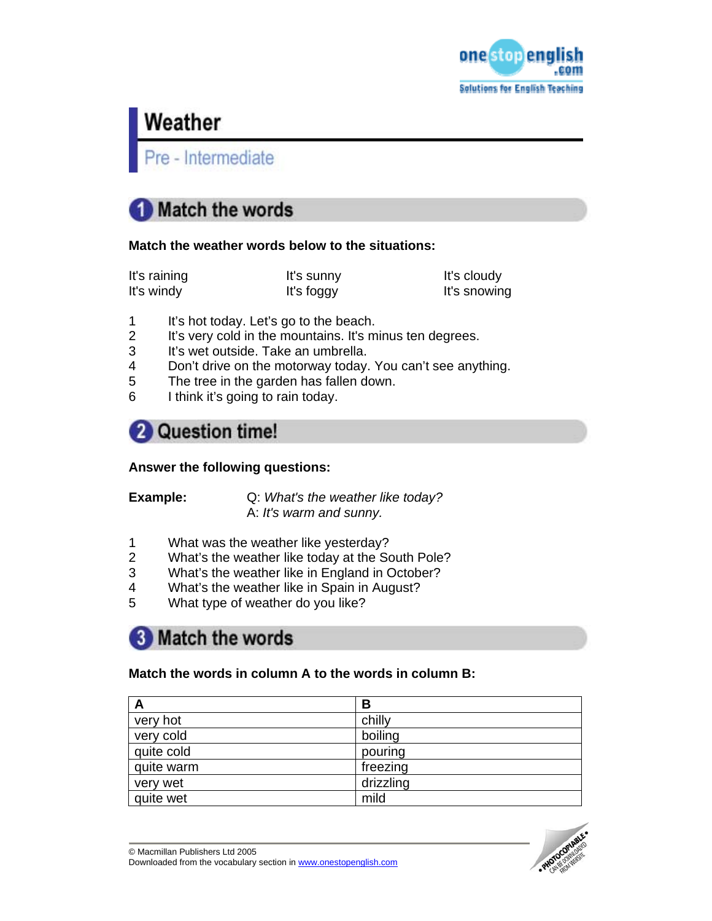

# Weather

Pre - Intermediate

# **Match the words**

### **Match the weather words below to the situations:**

It's raining The It's sunny It's sunny It's cloudy It's windy **It's foggy** It's snowing

- 1 It's hot today. Let's go to the beach.
- 2 It's very cold in the mountains. It's minus ten degrees.
- 3 It's wet outside. Take an umbrella.
- 4 Don't drive on the motorway today. You can't see anything.<br>5 The tree in the garden has fallen down.
- The tree in the garden has fallen down.
- 6 I think it's going to rain today.

# 2 Question time!

## **Answer the following questions:**

**Example:** Q: *What's the weather like today?*  A: *It's warm and sunny.* 

- 1 What was the weather like yesterday?
- 2 What's the weather like today at the South Pole?
- 3 What's the weather like in England in October?
- 4 What's the weather like in Spain in August?
- 5 What type of weather do you like?

## **8** Match the words

## **Match the words in column A to the words in column B:**

| A          | В         |
|------------|-----------|
| very hot   | chilly    |
| very cold  | boiling   |
| quite cold | pouring   |
| quite warm | freezing  |
| very wet   | drizzling |
| quite wet  | mild      |

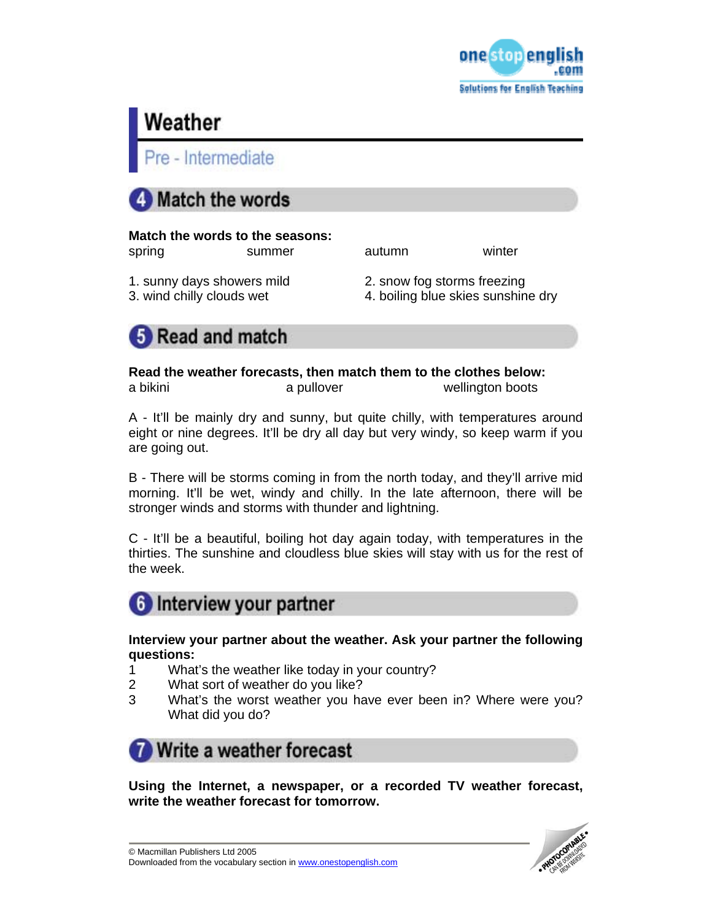

# Weather

e - Intermediate



## **Match the words to the seasons:**

spring summer autumn winter

- 
- 1. sunny days showers mild 2. snow fog storms freezing
- 3. wind chilly clouds wet 4. boiling blue skies sunshine dry



**Read the weather forecasts, then match them to the clothes below:**  a bikini a pullover wellington boots

A - It'll be mainly dry and sunny, but quite chilly, with temperatures around eight or nine degrees. It'll be dry all day but very windy, so keep warm if you are going out.

B - There will be storms coming in from the north today, and they'll arrive mid morning. It'll be wet, windy and chilly. In the late afternoon, there will be stronger winds and storms with thunder and lightning.

C - It'll be a beautiful, boiling hot day again today, with temperatures in the thirties. The sunshine and cloudless blue skies will stay with us for the rest of the week.



**Interview your partner about the weather. Ask your partner the following questions:** 

- 1 What's the weather like today in your country?
- 2 What sort of weather do you like?
- 3 What's the worst weather you have ever been in? Where were you? What did you do?



**Using the Internet, a newspaper, or a recorded TV weather forecast, write the weather forecast for tomorrow.**